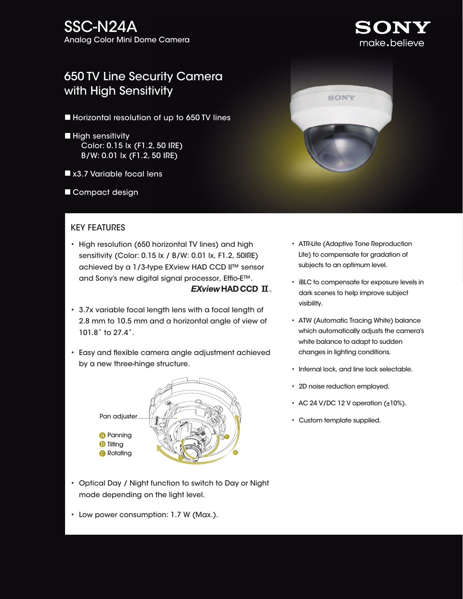## SSC-N24A Analog Color Mini Dome Camera

# 650 TV Line Security Camera with High Sensitivity

- **Horizontal resolution of up to 650 TV lines**
- $\blacksquare$  High sensitivity Color: 0.15 lx (F1.2, 50 IRE) B/W: 0.01 lx (F1.2, 50 IRE)
- x3.7 Variable focal lens
- Compact design

### KEY FEATURES

- High resolution (650 horizontal TV lines) and high sensitivity (Color: 0.15 lx / B/W: 0.01 lx, F1.2, 50IRE) achieved by a 1/3-type EXview HAD CCD II™ sensor and Sony's new digital signal processor, Effio-E™.  $EXview$ HADCCD  $\Pi$ .
- 3.7x variable focal length lens with a focal length of 2.8 mm to 10.5 mm and a horizontal angle of view of 101.8˚ to 27.4˚.
- Easy and flexible camera angle adjustment achieved by a new three-hinge structure.



- Optical Day / Night function to switch to Day or Night mode depending on the light level.
- Low power consumption: 1.7 W (Max.).



- ATR-Lite (Adaptive Tone Reproduction Lite) to compensate for gradation of subjects to an optimum level.
- iBLC to compensate for exposure levels in dark scenes to help improve subject visibility.
- ATW (Automatic Tracing White) balance which automatically adjusts the camera's white balance to adapt to sudden changes in lighting conditions.
- Internal lock, and line lock selectable.
- 2D noise reduction employed.
- AC 24 V/DC 12 V operation  $(\pm 10\%)$ .
- Custom template supplied.